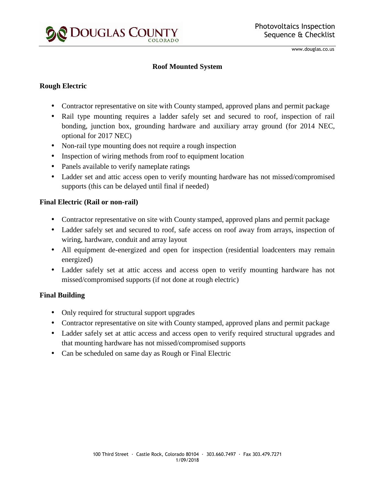

www.douglas.co.us

#### **Roof Mounted System**

#### **Rough Electric**

- Contractor representative on site with County stamped, approved plans and permit package
- Rail type mounting requires a ladder safely set and secured to roof, inspection of rail bonding, junction box, grounding hardware and auxiliary array ground (for 2014 NEC, optional for 2017 NEC)
- Non-rail type mounting does not require a rough inspection
- Inspection of wiring methods from roof to equipment location
- Panels available to verify nameplate ratings
- Ladder set and attic access open to verify mounting hardware has not missed/compromised supports (this can be delayed until final if needed)

## **Final Electric (Rail or non-rail)**

- Contractor representative on site with County stamped, approved plans and permit package
- Ladder safely set and secured to roof, safe access on roof away from arrays, inspection of wiring, hardware, conduit and array layout
- All equipment de-energized and open for inspection (residential loadcenters may remain energized)
- Ladder safely set at attic access and access open to verify mounting hardware has not missed/compromised supports (if not done at rough electric)

## **Final Building**

- Only required for structural support upgrades
- Contractor representative on site with County stamped, approved plans and permit package
- Ladder safely set at attic access and access open to verify required structural upgrades and that mounting hardware has not missed/compromised supports
- Can be scheduled on same day as Rough or Final Electric